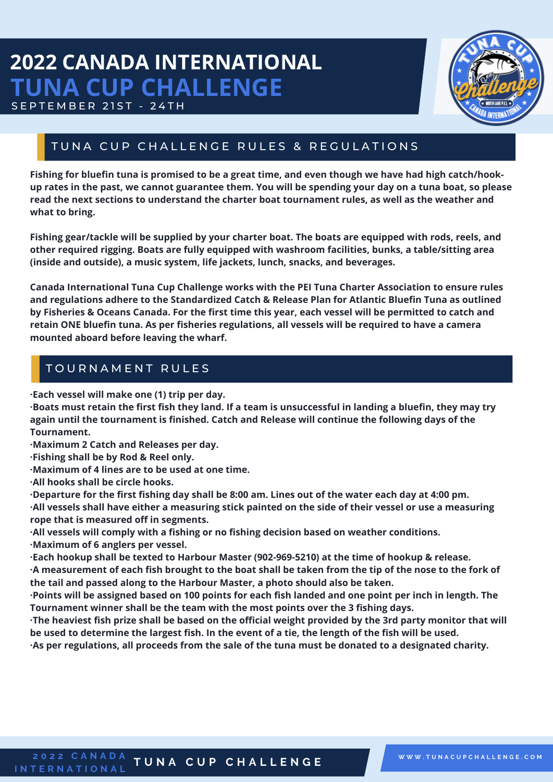## **2022 CANADA INTERNATIONAL TUNA CUP CHALLENGE** SEPTEMBER 21ST - 24TH



### TUNA CUP CHALLENGE RULES & REGULATIONS

Fishing for bluefin tuna is promised to be a great time, and even though we have had high catch/hookup rates in the past, we cannot guarantee them. You will be spending your day on a tuna boat, so please **read the next sections to understand the charter boat tournament rules, as well as the weather and what to bring.**

**Fishing gear/tackle will be supplied by your charter boat. The boats are equipped with rods, reels, and other required rigging. Boats are fully equipped with washroom facilities, bunks, a table/sitting area (inside and outside), a music system, life jackets, lunch, snacks, and beverages.**

**Canada International Tuna Cup Challenge works with the PEI Tuna Charter Association to ensure rules and regulations adhere to the Standardized Catch & Release Plan for Atlantic Bluefin Tuna as outlined** by Fisheries & Oceans Canada. For the first time this year, each vessel will be permitted to catch and **retain ONE bluefin tuna. As per fisheries regulations, all vessels will be required to have a camera mounted aboard before leaving the wharf.**

### TOURNAMENT RULES

**·Each vessel will make one (1) trip per day.**

·Boats must retain the first fish they land. If a team is unsuccessful in landing a bluefin, they may try **again until the tournament is finished. Catch and Release will continue the following days of the Tournament.**

**·Maximum 2 Catch and Releases per day.**

**·Fishing shall be by Rod & Reel only.**

**·Maximum of 4 lines are to be used at one time.**

**·All hooks shall be circle hooks.**

.Departure for the first fishing day shall be 8:00 am. Lines out of the water each day at 4:00 pm. ·All vessels shall have either a measuring stick painted on the side of their vessel or use a measuring **rope that is measured off in segments.**

**·All vessels will comply with a fishing or no fishing decision based on weather conditions. ·Maximum of 6 anglers per vessel.**

**·Each hookup shall be texted to Harbour Master (902-969-5210) at the time of hookup & release.**

A measurement of each fish brought to the boat shall be taken from the tip of the nose to the fork of **the tail and passed along to the Harbour Master, a photo should also be taken.**

. Points will be assigned based on 100 points for each fish landed and one point per inch in length. The **Tournament winner shall be the team with the most points over the 3 fishing days.**

The heaviest fish prize shall be based on the official weight provided by the 3rd party monitor that will be used to determine the largest fish. In the event of a tie, the length of the fish will be used.

·As per regulations, all proceeds from the sale of the tuna must be donated to a designated charity.